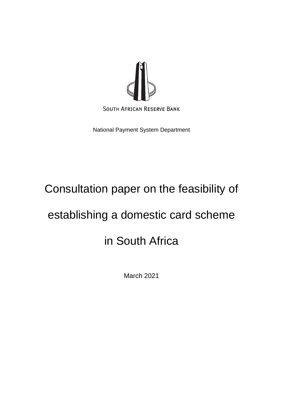

National Payment System Department

# Consultation paper on the feasibility of

# establishing a domestic card scheme

# in South Africa

March 2021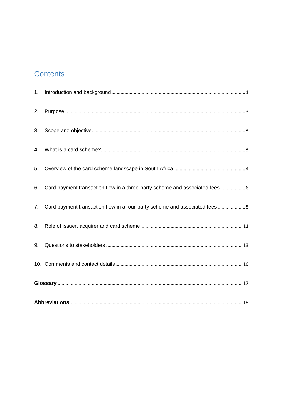## **Contents**

| 2. |                                                                                |  |
|----|--------------------------------------------------------------------------------|--|
| 3. |                                                                                |  |
| 4. |                                                                                |  |
| 5. |                                                                                |  |
| 6. | Card payment transaction flow in a three-party scheme and associated fees 6    |  |
|    | 7. Card payment transaction flow in a four-party scheme and associated fees  8 |  |
| 8. |                                                                                |  |
| 9. |                                                                                |  |
|    |                                                                                |  |
|    |                                                                                |  |
|    |                                                                                |  |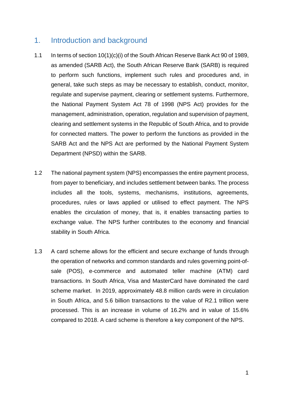## <span id="page-2-0"></span>1. Introduction and background

- 1.1 In terms of section 10(1)(c)(i) of the South African Reserve Bank Act 90 of 1989, as amended (SARB Act), the South African Reserve Bank (SARB) is required to perform such functions, implement such rules and procedures and, in general, take such steps as may be necessary to establish, conduct, monitor, regulate and supervise payment, clearing or settlement systems. Furthermore, the National Payment System Act 78 of 1998 (NPS Act) provides for the management, administration, operation, regulation and supervision of payment, clearing and settlement systems in the Republic of South Africa, and to provide for connected matters. The power to perform the functions as provided in the SARB Act and the NPS Act are performed by the National Payment System Department (NPSD) within the SARB.
- 1.2 The national payment system (NPS) encompasses the entire payment process, from payer to beneficiary, and includes settlement between banks. The process includes all the tools, systems, mechanisms, institutions, agreements, procedures, rules or laws applied or utilised to effect payment. The NPS enables the circulation of money, that is, it enables transacting parties to exchange value. The NPS further contributes to the economy and financial stability in South Africa.
- 1.3 A card scheme allows for the efficient and secure exchange of funds through the operation of networks and common standards and rules governing point-ofsale (POS), e-commerce and automated teller machine (ATM) card transactions. In South Africa, Visa and MasterCard have dominated the card scheme market. In 2019, approximately 48.8 million cards were in circulation in South Africa, and 5.6 billion transactions to the value of R2.1 trillion were processed. This is an increase in volume of 16.2% and in value of 15.6% compared to 2018. A card scheme is therefore a key component of the NPS.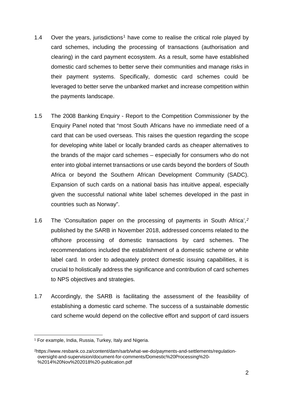- [1](#page-3-0).4 Over the years, jurisdictions<sup>1</sup> have come to realise the critical role played by card schemes, including the processing of transactions (authorisation and clearing) in the card payment ecosystem. As a result, some have established domestic card schemes to better serve their communities and manage risks in their payment systems. Specifically, domestic card schemes could be leveraged to better serve the unbanked market and increase competition within the payments landscape.
- 1.5 The 2008 Banking Enquiry Report to the Competition Commissioner by the Enquiry Panel noted that "most South Africans have no immediate need of a card that can be used overseas. This raises the question regarding the scope for developing white label or locally branded cards as cheaper alternatives to the brands of the major card schemes – especially for consumers who do not enter into global internet transactions or use cards beyond the borders of South Africa or beyond the Southern African Development Community (SADC). Expansion of such cards on a national basis has intuitive appeal, especially given the successful national white label schemes developed in the past in countries such as Norway".
- 1.6 The 'Consultation paper on the processing of payments in South Africa'*,[2](#page-3-1)* published by the SARB in November 2018, addressed concerns related to the offshore processing of domestic transactions by card schemes. The recommendations included the establishment of a domestic scheme or white label card*.* In order to adequately protect domestic issuing capabilities, it is crucial to holistically address the significance and contribution of card schemes to NPS objectives and strategies.
- 1.7 Accordingly, the SARB is facilitating the assessment of the feasibility of establishing a domestic card scheme. The success of a sustainable domestic card scheme would depend on the collective effort and support of card issuers

<span id="page-3-0"></span><sup>1</sup> For example, India, Russia, Turkey, Italy and Nigeria.

<span id="page-3-1"></span><sup>2</sup>https://www.resbank.co.za/content/dam/sarb/what-we-do/payments-and-settlements/regulationoversight-and-supervision/document-for-comments/Domestic%20Processing%20- %2014%20Nov%202018%20-publication.pdf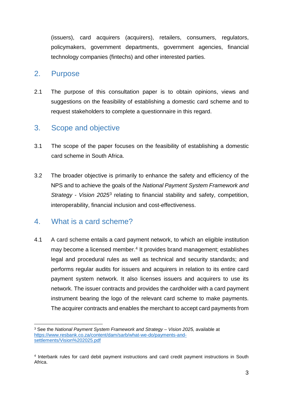(issuers), card acquirers (acquirers), retailers, consumers, regulators, policymakers, government departments, government agencies, financial technology companies (fintechs) and other interested parties.

### <span id="page-4-0"></span>2. Purpose

2.1 The purpose of this consultation paper is to obtain opinions, views and suggestions on the feasibility of establishing a domestic card scheme and to request stakeholders to complete a questionnaire in this regard.

## <span id="page-4-1"></span>3. Scope and objective

- 3.1 The scope of the paper focuses on the feasibility of establishing a domestic card scheme in South Africa.
- 3.2 The broader objective is primarily to enhance the safety and efficiency of the NPS and to achieve the goals of the *National Payment System Framework and Strategy* - *Vision 2025*[3](#page-4-3) relating to financial stability and safety, competition, interoperability, financial inclusion and cost-effectiveness.

## <span id="page-4-2"></span>4. What is a card scheme?

**.** 

4.1 A card scheme entails a card payment network, to which an eligible institution may become a licensed member. [4](#page-4-4) It provides brand management; establishes legal and procedural rules as well as technical and security standards; and performs regular audits for issuers and acquirers in relation to its entire card payment system network. It also licenses issuers and acquirers to use its network. The issuer contracts and provides the cardholder with a card payment instrument bearing the logo of the relevant card scheme to make payments. The acquirer contracts and enables the merchant to accept card payments from

<span id="page-4-3"></span><sup>3</sup> See the *National Payment System Framework and Strategy* – *Vision 2025,* available at [https://www.resbank.co.za/content/dam/sarb/what-we-do/payments-and](https://www.resbank.co.za/content/dam/sarb/what-we-do/payments-and-settlements/Vision%202025.pdf)[settlements/Vision%202025.pdf](https://www.resbank.co.za/content/dam/sarb/what-we-do/payments-and-settlements/Vision%202025.pdf)

<span id="page-4-4"></span><sup>4</sup> Interbank rules for card debit payment instructions and card credit payment instructions in South Africa.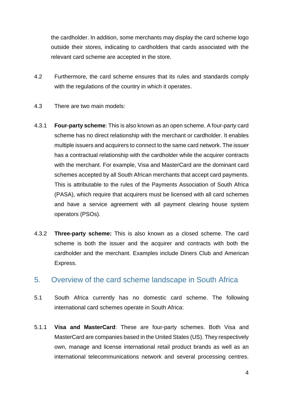the cardholder. In addition, some merchants may display the card scheme logo outside their stores, indicating to cardholders that cards associated with the relevant card scheme are accepted in the store.

- 4.2 Furthermore, the card scheme ensures that its rules and standards comply with the regulations of the country in which it operates.
- 4.3 There are two main models:
- 4.3.1 **Four-party scheme**: This is also known as an open scheme. A four-party card scheme has no direct relationship with the merchant or cardholder. It enables multiple issuers and acquirers to connect to the same card network. The issuer has a contractual relationship with the cardholder while the acquirer contracts with the merchant. For example, Visa and MasterCard are the dominant card schemes accepted by all South African merchants that accept card payments. This is attributable to the rules of the Payments Association of South Africa (PASA), which require that acquirers must be licensed with all card schemes and have a service agreement with all payment clearing house system operators (PSOs).
- 4.3.2 **Three-party scheme:** This is also known as a closed scheme. The card scheme is both the issuer and the acquirer and contracts with both the cardholder and the merchant. Examples include Diners Club and American Express.

### <span id="page-5-0"></span>5. Overview of the card scheme landscape in South Africa

- 5.1 South Africa currently has no domestic card scheme. The following international card schemes operate in South Africa:
- 5.1.1 **Visa and MasterCard**: These are four-party schemes. Both Visa and MasterCard are companies based in the United States (US). They respectively own, manage and license international retail product brands as well as an international telecommunications network and several processing centres.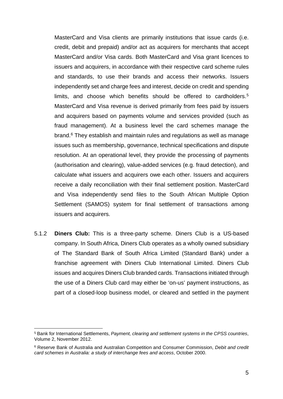MasterCard and Visa clients are primarily institutions that issue cards (i.e. credit, debit and prepaid) and/or act as acquirers for merchants that accept MasterCard and/or Visa cards. Both MasterCard and Visa grant licences to issuers and acquirers, in accordance with their respective card scheme rules and standards, to use their brands and access their networks. Issuers independently set and charge fees and interest, decide on credit and spending limits, and choose which benefits should be offered to cardholders. [5](#page-6-0) MasterCard and Visa revenue is derived primarily from fees paid by issuers and acquirers based on payments volume and services provided (such as fraud management). At a business level the card schemes manage the brand. [6](#page-6-1) They establish and maintain rules and regulations as well as manage issues such as membership, governance, technical specifications and dispute resolution. At an operational level, they provide the processing of payments (authorisation and clearing), value-added services (e.g. fraud detection), and calculate what issuers and acquirers owe each other. Issuers and acquirers receive a daily reconciliation with their final settlement position. MasterCard and Visa independently send files to the South African Multiple Option Settlement (SAMOS) system for final settlement of transactions among issuers and acquirers.

5.1.2 **Diners Club:** This is a three-party scheme. Diners Club is a US-based company. In South Africa, Diners Club operates as a wholly owned subsidiary of The Standard Bank of South Africa Limited (Standard Bank) under a franchise agreement with Diners Club International Limited. Diners Club issues and acquires Diners Club branded cards. Transactions initiated through the use of a Diners Club card may either be 'on-us' payment instructions, as part of a closed-loop business model, or cleared and settled in the payment

<span id="page-6-0"></span><sup>5</sup> Bank for International Settlements, *Payment, clearing and settlement systems in the CPSS countries*, Volume 2, November 2012.

<span id="page-6-1"></span><sup>6</sup> Reserve Bank of Australia and Australian Competition and Consumer Commission, *Debit and credit card schemes in Australia: a study of interchange fees and access*, October 2000.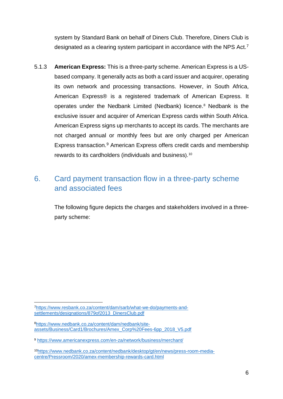system by Standard Bank on behalf of Diners Club. Therefore, Diners Club is designated as a clearing system participant in accordance with the NPS Act.[7](#page-7-1)

5.1.3 **American Express:** This is a three-party scheme. American Express is a USbased company. It generally acts as both a card issuer and acquirer, operating its own network and processing transactions. However, in South Africa, American Express® is a registered trademark of American Express. It operates under the Nedbank Limited (Nedbank) licence. [8](#page-7-2) Nedbank is the exclusive issuer and acquirer of American Express cards within South Africa. American Express signs up merchants to accept its cards. The merchants are not charged annual or monthly fees but are only charged per American Express transaction. [9](#page-7-3) American Express offers credit cards and membership rewards to its cardholders (individuals and business). [10](#page-7-4)

## <span id="page-7-0"></span>6. Card payment transaction flow in a three-party scheme and associated fees

The following figure depicts the charges and stakeholders involved in a threeparty scheme:

<span id="page-7-1"></span>[<sup>7</sup>https://www.resbank.co.za/content/dam/sarb/what-we-do/payments-and](https://www.resbank.co.za/content/dam/sarb/what-we-do/payments-and-settlements/designations/879of2013_DinersClub.pdf)[settlements/designations/879of2013\\_DinersClub.pdf](https://www.resbank.co.za/content/dam/sarb/what-we-do/payments-and-settlements/designations/879of2013_DinersClub.pdf)

<span id="page-7-2"></span>[<sup>8</sup>https://www.nedbank.co.za/content/dam/nedbank/site](https://www.nedbank.co.za/content/dam/nedbank/site-assets/Business/Card1/Brochures/Amex_Corp%20Fees-6pp_2018_V5.pdf)[assets/Business/Card1/Brochures/Amex\\_Corp%20Fees-6pp\\_2018\\_V5.pdf](https://www.nedbank.co.za/content/dam/nedbank/site-assets/Business/Card1/Brochures/Amex_Corp%20Fees-6pp_2018_V5.pdf)

<span id="page-7-3"></span><sup>9</sup> <https://www.americanexpress.com/en-za/network/business/merchant/>

<span id="page-7-4"></span><sup>1</sup>[0https://www.nedbank.co.za/content/nedbank/desktop/gt/en/news/press-room-media](https://www.nedbank.co.za/content/nedbank/desktop/gt/en/news/press-room-media-centre/Pressroom/2020/amex-membership-rewards-card.html)[centre/Pressroom/2020/amex-membership-rewards-card.html](https://www.nedbank.co.za/content/nedbank/desktop/gt/en/news/press-room-media-centre/Pressroom/2020/amex-membership-rewards-card.html)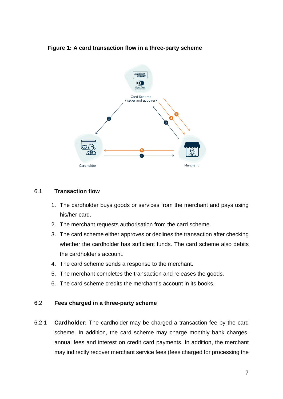#### **Figure 1: A card transaction flow in a three-party scheme**



#### 6.1 **Transaction flow**

- 1. The cardholder buys goods or services from the merchant and pays using his/her card.
- 2. The merchant requests authorisation from the card scheme.
- 3. The card scheme either approves or declines the transaction after checking whether the cardholder has sufficient funds. The card scheme also debits the cardholder's account.
- 4. The card scheme sends a response to the merchant.
- 5. The merchant completes the transaction and releases the goods.
- 6. The card scheme credits the merchant's account in its books.

#### 6.2 **Fees charged in a three-party scheme**

6.2.1 **Cardholder:** The cardholder may be charged a transaction fee by the card scheme. In addition, the card scheme may charge monthly bank charges, annual fees and interest on credit card payments. In addition, the merchant may indirectly recover merchant service fees (fees charged for processing the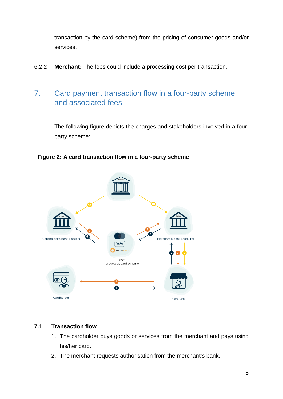transaction by the card scheme) from the pricing of consumer goods and/or services.

6.2.2 **Merchant:** The fees could include a processing cost per transaction.

## <span id="page-9-0"></span>7. Card payment transaction flow in a four-party scheme and associated fees

The following figure depicts the charges and stakeholders involved in a fourparty scheme:

**Figure 2: A card transaction flow in a four-party scheme**



#### 7.1 **Transaction flow**

- 1. The cardholder buys goods or services from the merchant and pays using his/her card.
- 2. The merchant requests authorisation from the merchant's bank.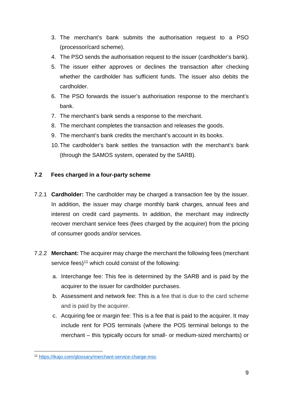- 3. The merchant's bank submits the authorisation request to a PSO (processor/card scheme).
- 4. The PSO sends the authorisation request to the issuer (cardholder's bank).
- 5. The issuer either approves or declines the transaction after checking whether the cardholder has sufficient funds. The issuer also debits the cardholder.
- 6. The PSO forwards the issuer's authorisation response to the merchant's bank.
- 7. The merchant's bank sends a response to the merchant.
- 8. The merchant completes the transaction and releases the goods.
- 9. The merchant's bank credits the merchant's account in its books.
- 10.The cardholder's bank settles the transaction with the merchant's bank (through the SAMOS system, operated by the SARB).

#### **7.2 Fees charged in a four-party scheme**

- 7.2.1 **Cardholder:** The cardholder may be charged a transaction fee by the issuer. In addition, the issuer may charge monthly bank charges, annual fees and interest on credit card payments. In addition, the merchant may indirectly recover merchant service fees (fees charged by the acquirer) from the pricing of consumer goods and/or services.
- 7.2.2 **Merchant:** The acquirer may charge the merchant the following fees (merchant service fees) $11$  which could consist of the following:
	- a. Interchange fee: This fee is determined by the SARB and is paid by the acquirer to the issuer for cardholder purchases.
	- b. Assessment and network fee: This is a fee that is due to the card scheme and is paid by the acquirer.
	- c. Acquiring fee or margin fee: This is a fee that is paid to the acquirer. It may include rent for POS terminals (where the POS terminal belongs to the merchant – this typically occurs for small- or medium-sized merchants) or

<span id="page-10-0"></span><sup>11</sup> <https://ikajo.com/glossary/merchant-service-charge-msc>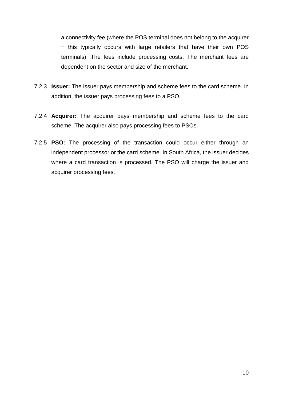a connectivity fee (where the POS terminal does not belong to the acquirer − this typically occurs with large retailers that have their own POS terminals). The fees include processing costs. The merchant fees are dependent on the sector and size of the merchant.

- 7.2.3 **Issuer:** The issuer pays membership and scheme fees to the card scheme. In addition, the issuer pays processing fees to a PSO.
- 7.2.4 **Acquirer:** The acquirer pays membership and scheme fees to the card scheme. The acquirer also pays processing fees to PSOs.
- 7.2.5 **PSO:** The processing of the transaction could occur either through an independent processor or the card scheme. In South Africa, the issuer decides where a card transaction is processed. The PSO will charge the issuer and acquirer processing fees.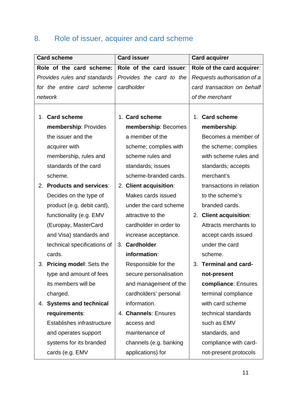## <span id="page-12-0"></span>8. Role of issuer, acquirer and card scheme

| <b>Card scheme</b>                 | <b>Card issuer</b>       | <b>Card acquirer</b>             |  |
|------------------------------------|--------------------------|----------------------------------|--|
| Role of the card scheme:           | Role of the card issuer: | Role of the card acquirer:       |  |
| Provides rules and standards       | Provides the card to the | Requests authorisation of a      |  |
| for the entire card scheme         | cardholder               | card transaction on behalf       |  |
| network                            |                          | of the merchant                  |  |
|                                    |                          |                                  |  |
| <b>Card scheme</b><br>1.           | 1. Card scheme           | <b>Card scheme</b><br>1.         |  |
| membership: Provides               | membership: Becomes      | membership:                      |  |
| the issuer and the                 | a member of the          | Becomes a member of              |  |
| acquirer with                      | scheme; complies with    | the scheme; complies             |  |
| membership, rules and              | scheme rules and         | with scheme rules and            |  |
| standards of the card              | standards; issues        | standards; accepts               |  |
| scheme.                            | scheme-branded cards.    | merchant's                       |  |
| 2. Products and services:          | 2. Client acquisition:   | transactions in relation         |  |
| Decides on the type of             | Makes cards issued       | to the scheme's                  |  |
| product (e.g. debit card),         | under the card scheme    | branded cards.                   |  |
| functionality (e.g. EMV            | attractive to the        | <b>Client acquisition:</b><br>2. |  |
| (Europay, MasterCard               | cardholder in order to   | Attracts merchants to            |  |
| and Visa) standards and            | increase acceptance.     | accept cards issued              |  |
| technical specifications of        | 3. Cardholder            | under the card                   |  |
| cards.                             | information:             | scheme.                          |  |
| 3. Pricing model: Sets the         | Responsible for the      | <b>Terminal and card-</b>        |  |
| type and amount of fees            | secure personalisation   | not-present                      |  |
| its members will be                | and management of the    | compliance: Ensures              |  |
| charged.                           | cardholders' personal    | terminal compliance              |  |
| <b>Systems and technical</b><br>4. | information.             | with card scheme                 |  |
| requirements:                      | 4. Channels: Ensures     | technical standards              |  |
| Establishes infrastructure         | access and               | such as EMV                      |  |
| and operates support               | maintenance of           | standards, and                   |  |
| systems for its branded            | channels (e.g. banking   | compliance with card-            |  |
| cards (e.g. EMV                    | applications) for        | not-present protocols            |  |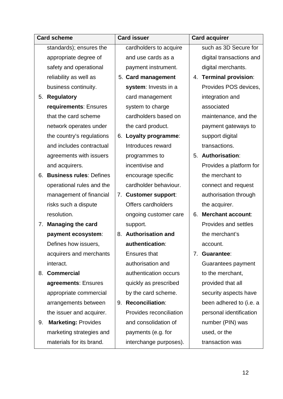| <b>Card scheme</b> |                                | <b>Card issuer</b> |                          | <b>Card acquirer</b> |                          |
|--------------------|--------------------------------|--------------------|--------------------------|----------------------|--------------------------|
|                    | standards); ensures the        |                    | cardholders to acquire   |                      | such as 3D Secure for    |
|                    | appropriate degree of          |                    | and use cards as a       |                      | digital transactions and |
|                    | safety and operational         |                    | payment instrument.      |                      | digital merchants.       |
|                    | reliability as well as         |                    | 5. Card management       |                      | 4. Terminal provision:   |
|                    | business continuity.           |                    | system: Invests in a     |                      | Provides POS devices,    |
| 5.                 | <b>Regulatory</b>              |                    | card management          |                      | integration and          |
|                    | requirements: Ensures          |                    | system to charge         |                      | associated               |
|                    | that the card scheme           |                    | cardholders based on     |                      | maintenance, and the     |
|                    | network operates under         |                    | the card product.        |                      | payment gateways to      |
|                    | the country's regulations      | 6.                 | Loyalty programme:       |                      | support digital          |
|                    | and includes contractual       |                    | Introduces reward        |                      | transactions.            |
|                    | agreements with issuers        |                    | programmes to            | 5.                   | Authorisation:           |
|                    | and acquirers.                 |                    | incentivise and          |                      | Provides a platform for  |
| 6.                 | <b>Business rules: Defines</b> |                    | encourage specific       |                      | the merchant to          |
|                    | operational rules and the      |                    | cardholder behaviour.    |                      | connect and request      |
|                    | management of financial        | 7.                 | <b>Customer support:</b> |                      | authorisation through    |
|                    | risks such a dispute           |                    | Offers cardholders       |                      | the acquirer.            |
|                    | resolution.                    |                    | ongoing customer care    | 6.                   | <b>Merchant account:</b> |
| 7.                 | <b>Managing the card</b>       |                    | support.                 |                      | Provides and settles     |
|                    | payment ecosystem:             | 8.                 | <b>Authorisation and</b> |                      | the merchant's           |
|                    | Defines how issuers,           |                    | authentication:          |                      | account.                 |
|                    | acquirers and merchants        |                    | <b>Ensures that</b>      | 7.                   | <b>Guarantee:</b>        |
|                    | interact.                      |                    | authorisation and        |                      | Guarantees payment       |
|                    | 8. Commercial                  |                    | authentication occurs    |                      | to the merchant,         |
|                    | agreements: Ensures            |                    | quickly as prescribed    |                      | provided that all        |
|                    | appropriate commercial         |                    | by the card scheme.      |                      | security aspects have    |
|                    | arrangements between           | 9.                 | <b>Reconciliation:</b>   |                      | been adhered to (i.e. a  |
|                    | the issuer and acquirer.       |                    | Provides reconciliation  |                      | personal identification  |
| 9.                 | <b>Marketing: Provides</b>     |                    | and consolidation of     |                      | number (PIN) was         |
|                    | marketing strategies and       |                    | payments (e.g. for       |                      | used, or the             |
|                    | materials for its brand.       |                    | interchange purposes).   |                      | transaction was          |
|                    |                                |                    |                          |                      |                          |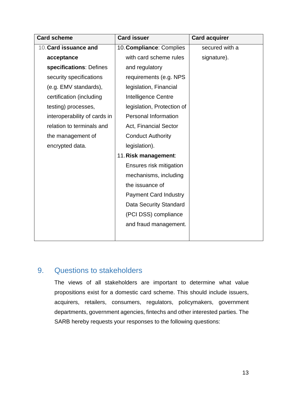| <b>Card scheme</b>           | <b>Card issuer</b>            | <b>Card acquirer</b> |
|------------------------------|-------------------------------|----------------------|
| 10. Card issuance and        | 10. Compliance: Complies      | secured with a       |
| acceptance                   | with card scheme rules        | signature).          |
| specifications: Defines      | and regulatory                |                      |
| security specifications      | requirements (e.g. NPS        |                      |
| (e.g. EMV standards),        | legislation, Financial        |                      |
| certification (including     | Intelligence Centre           |                      |
| testing) processes,          | legislation, Protection of    |                      |
| interoperability of cards in | <b>Personal Information</b>   |                      |
| relation to terminals and    | Act, Financial Sector         |                      |
| the management of            | <b>Conduct Authority</b>      |                      |
| encrypted data.              | legislation).                 |                      |
|                              | 11. Risk management:          |                      |
|                              | Ensures risk mitigation       |                      |
|                              | mechanisms, including         |                      |
|                              | the issuance of               |                      |
|                              | <b>Payment Card Industry</b>  |                      |
|                              | <b>Data Security Standard</b> |                      |
|                              | (PCI DSS) compliance          |                      |
|                              | and fraud management.         |                      |
|                              |                               |                      |

## <span id="page-14-0"></span>9. Questions to stakeholders

The views of all stakeholders are important to determine what value propositions exist for a domestic card scheme. This should include issuers, acquirers, retailers, consumers, regulators, policymakers, government departments, government agencies, fintechs and other interested parties. The SARB hereby requests your responses to the following questions: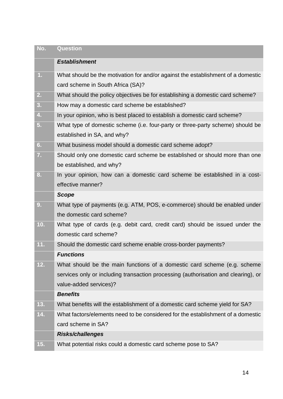| No.            | <b>Question</b>                                                                    |
|----------------|------------------------------------------------------------------------------------|
|                | <b>Establishment</b>                                                               |
| $\mathbf{1}$ . | What should be the motivation for and/or against the establishment of a domestic   |
|                | card scheme in South Africa (SA)?                                                  |
| 2.             | What should the policy objectives be for establishing a domestic card scheme?      |
| 3.             | How may a domestic card scheme be established?                                     |
| 4.             | In your opinion, who is best placed to establish a domestic card scheme?           |
| 5 <sub>1</sub> | What type of domestic scheme (i.e. four-party or three-party scheme) should be     |
|                | established in SA, and why?                                                        |
| 6.             | What business model should a domestic card scheme adopt?                           |
| 7.             | Should only one domestic card scheme be established or should more than one        |
|                | be established, and why?                                                           |
| 8.             | In your opinion, how can a domestic card scheme be established in a cost-          |
|                | effective manner?                                                                  |
|                | <b>Scope</b>                                                                       |
| 9.             | What type of payments (e.g. ATM, POS, e-commerce) should be enabled under          |
|                | the domestic card scheme?                                                          |
| 10.            | What type of cards (e.g. debit card, credit card) should be issued under the       |
|                | domestic card scheme?                                                              |
| 11.            | Should the domestic card scheme enable cross-border payments?                      |
|                | <b>Functions</b>                                                                   |
| 12.            | What should be the main functions of a domestic card scheme (e.g. scheme           |
|                | services only or including transaction processing (authorisation and clearing), or |
|                | value-added services)?                                                             |
|                | <b>Benefits</b>                                                                    |
| 13.            | What benefits will the establishment of a domestic card scheme yield for SA?       |
| 14.            | What factors/elements need to be considered for the establishment of a domestic    |
|                | card scheme in SA?                                                                 |
|                | <b>Risks/challenges</b>                                                            |
| 15.            | What potential risks could a domestic card scheme pose to SA?                      |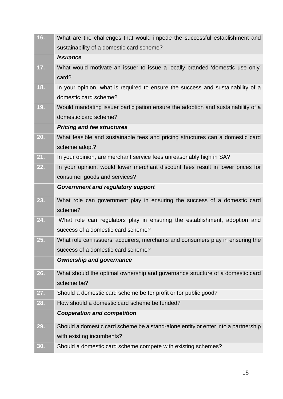| sustainability of a domestic card scheme?<br><b>Issuance</b><br>17.<br>What would motivate an issuer to issue a locally branded 'domestic use only'<br>card?<br>18.<br>In your opinion, what is required to ensure the success and sustainability of a<br>domestic card scheme?<br>19.<br>Would mandating issuer participation ensure the adoption and sustainability of a<br>domestic card scheme?<br><b>Pricing and fee structures</b><br>What feasible and sustainable fees and pricing structures can a domestic card<br>20.<br>scheme adopt?<br>21.<br>In your opinion, are merchant service fees unreasonably high in SA?<br>22.<br>In your opinion, would lower merchant discount fees result in lower prices for<br>consumer goods and services?<br><b>Government and regulatory support</b><br>What role can government play in ensuring the success of a domestic card<br>23.<br>scheme?<br>24.<br>What role can regulators play in ensuring the establishment, adoption and<br>success of a domestic card scheme?<br>25.<br>What role can issuers, acquirers, merchants and consumers play in ensuring the<br>success of a domestic card scheme?<br><b>Ownership and governance</b><br>26.<br>What should the optimal ownership and governance structure of a domestic card<br>scheme be?<br>Should a domestic card scheme be for profit or for public good?<br>27.<br>How should a domestic card scheme be funded?<br>28.<br><b>Cooperation and competition</b><br>Should a domestic card scheme be a stand-alone entity or enter into a partnership<br>29.<br>with existing incumbents? | 16. | What are the challenges that would impede the successful establishment and |
|------------------------------------------------------------------------------------------------------------------------------------------------------------------------------------------------------------------------------------------------------------------------------------------------------------------------------------------------------------------------------------------------------------------------------------------------------------------------------------------------------------------------------------------------------------------------------------------------------------------------------------------------------------------------------------------------------------------------------------------------------------------------------------------------------------------------------------------------------------------------------------------------------------------------------------------------------------------------------------------------------------------------------------------------------------------------------------------------------------------------------------------------------------------------------------------------------------------------------------------------------------------------------------------------------------------------------------------------------------------------------------------------------------------------------------------------------------------------------------------------------------------------------------------------------------------------------------------------------|-----|----------------------------------------------------------------------------|
|                                                                                                                                                                                                                                                                                                                                                                                                                                                                                                                                                                                                                                                                                                                                                                                                                                                                                                                                                                                                                                                                                                                                                                                                                                                                                                                                                                                                                                                                                                                                                                                                      |     |                                                                            |
|                                                                                                                                                                                                                                                                                                                                                                                                                                                                                                                                                                                                                                                                                                                                                                                                                                                                                                                                                                                                                                                                                                                                                                                                                                                                                                                                                                                                                                                                                                                                                                                                      |     |                                                                            |
|                                                                                                                                                                                                                                                                                                                                                                                                                                                                                                                                                                                                                                                                                                                                                                                                                                                                                                                                                                                                                                                                                                                                                                                                                                                                                                                                                                                                                                                                                                                                                                                                      |     |                                                                            |
|                                                                                                                                                                                                                                                                                                                                                                                                                                                                                                                                                                                                                                                                                                                                                                                                                                                                                                                                                                                                                                                                                                                                                                                                                                                                                                                                                                                                                                                                                                                                                                                                      |     |                                                                            |
|                                                                                                                                                                                                                                                                                                                                                                                                                                                                                                                                                                                                                                                                                                                                                                                                                                                                                                                                                                                                                                                                                                                                                                                                                                                                                                                                                                                                                                                                                                                                                                                                      |     |                                                                            |
|                                                                                                                                                                                                                                                                                                                                                                                                                                                                                                                                                                                                                                                                                                                                                                                                                                                                                                                                                                                                                                                                                                                                                                                                                                                                                                                                                                                                                                                                                                                                                                                                      |     |                                                                            |
|                                                                                                                                                                                                                                                                                                                                                                                                                                                                                                                                                                                                                                                                                                                                                                                                                                                                                                                                                                                                                                                                                                                                                                                                                                                                                                                                                                                                                                                                                                                                                                                                      |     |                                                                            |
|                                                                                                                                                                                                                                                                                                                                                                                                                                                                                                                                                                                                                                                                                                                                                                                                                                                                                                                                                                                                                                                                                                                                                                                                                                                                                                                                                                                                                                                                                                                                                                                                      |     |                                                                            |
|                                                                                                                                                                                                                                                                                                                                                                                                                                                                                                                                                                                                                                                                                                                                                                                                                                                                                                                                                                                                                                                                                                                                                                                                                                                                                                                                                                                                                                                                                                                                                                                                      |     |                                                                            |
|                                                                                                                                                                                                                                                                                                                                                                                                                                                                                                                                                                                                                                                                                                                                                                                                                                                                                                                                                                                                                                                                                                                                                                                                                                                                                                                                                                                                                                                                                                                                                                                                      |     |                                                                            |
|                                                                                                                                                                                                                                                                                                                                                                                                                                                                                                                                                                                                                                                                                                                                                                                                                                                                                                                                                                                                                                                                                                                                                                                                                                                                                                                                                                                                                                                                                                                                                                                                      |     |                                                                            |
|                                                                                                                                                                                                                                                                                                                                                                                                                                                                                                                                                                                                                                                                                                                                                                                                                                                                                                                                                                                                                                                                                                                                                                                                                                                                                                                                                                                                                                                                                                                                                                                                      |     |                                                                            |
|                                                                                                                                                                                                                                                                                                                                                                                                                                                                                                                                                                                                                                                                                                                                                                                                                                                                                                                                                                                                                                                                                                                                                                                                                                                                                                                                                                                                                                                                                                                                                                                                      |     |                                                                            |
|                                                                                                                                                                                                                                                                                                                                                                                                                                                                                                                                                                                                                                                                                                                                                                                                                                                                                                                                                                                                                                                                                                                                                                                                                                                                                                                                                                                                                                                                                                                                                                                                      |     |                                                                            |
|                                                                                                                                                                                                                                                                                                                                                                                                                                                                                                                                                                                                                                                                                                                                                                                                                                                                                                                                                                                                                                                                                                                                                                                                                                                                                                                                                                                                                                                                                                                                                                                                      |     |                                                                            |
|                                                                                                                                                                                                                                                                                                                                                                                                                                                                                                                                                                                                                                                                                                                                                                                                                                                                                                                                                                                                                                                                                                                                                                                                                                                                                                                                                                                                                                                                                                                                                                                                      |     |                                                                            |
|                                                                                                                                                                                                                                                                                                                                                                                                                                                                                                                                                                                                                                                                                                                                                                                                                                                                                                                                                                                                                                                                                                                                                                                                                                                                                                                                                                                                                                                                                                                                                                                                      |     |                                                                            |
|                                                                                                                                                                                                                                                                                                                                                                                                                                                                                                                                                                                                                                                                                                                                                                                                                                                                                                                                                                                                                                                                                                                                                                                                                                                                                                                                                                                                                                                                                                                                                                                                      |     |                                                                            |
|                                                                                                                                                                                                                                                                                                                                                                                                                                                                                                                                                                                                                                                                                                                                                                                                                                                                                                                                                                                                                                                                                                                                                                                                                                                                                                                                                                                                                                                                                                                                                                                                      |     |                                                                            |
|                                                                                                                                                                                                                                                                                                                                                                                                                                                                                                                                                                                                                                                                                                                                                                                                                                                                                                                                                                                                                                                                                                                                                                                                                                                                                                                                                                                                                                                                                                                                                                                                      |     |                                                                            |
|                                                                                                                                                                                                                                                                                                                                                                                                                                                                                                                                                                                                                                                                                                                                                                                                                                                                                                                                                                                                                                                                                                                                                                                                                                                                                                                                                                                                                                                                                                                                                                                                      |     |                                                                            |
|                                                                                                                                                                                                                                                                                                                                                                                                                                                                                                                                                                                                                                                                                                                                                                                                                                                                                                                                                                                                                                                                                                                                                                                                                                                                                                                                                                                                                                                                                                                                                                                                      |     |                                                                            |
|                                                                                                                                                                                                                                                                                                                                                                                                                                                                                                                                                                                                                                                                                                                                                                                                                                                                                                                                                                                                                                                                                                                                                                                                                                                                                                                                                                                                                                                                                                                                                                                                      |     |                                                                            |
|                                                                                                                                                                                                                                                                                                                                                                                                                                                                                                                                                                                                                                                                                                                                                                                                                                                                                                                                                                                                                                                                                                                                                                                                                                                                                                                                                                                                                                                                                                                                                                                                      |     |                                                                            |
|                                                                                                                                                                                                                                                                                                                                                                                                                                                                                                                                                                                                                                                                                                                                                                                                                                                                                                                                                                                                                                                                                                                                                                                                                                                                                                                                                                                                                                                                                                                                                                                                      |     |                                                                            |
|                                                                                                                                                                                                                                                                                                                                                                                                                                                                                                                                                                                                                                                                                                                                                                                                                                                                                                                                                                                                                                                                                                                                                                                                                                                                                                                                                                                                                                                                                                                                                                                                      |     |                                                                            |
|                                                                                                                                                                                                                                                                                                                                                                                                                                                                                                                                                                                                                                                                                                                                                                                                                                                                                                                                                                                                                                                                                                                                                                                                                                                                                                                                                                                                                                                                                                                                                                                                      |     |                                                                            |
|                                                                                                                                                                                                                                                                                                                                                                                                                                                                                                                                                                                                                                                                                                                                                                                                                                                                                                                                                                                                                                                                                                                                                                                                                                                                                                                                                                                                                                                                                                                                                                                                      |     |                                                                            |
|                                                                                                                                                                                                                                                                                                                                                                                                                                                                                                                                                                                                                                                                                                                                                                                                                                                                                                                                                                                                                                                                                                                                                                                                                                                                                                                                                                                                                                                                                                                                                                                                      |     |                                                                            |
| Should a domestic card scheme compete with existing schemes?<br>30.                                                                                                                                                                                                                                                                                                                                                                                                                                                                                                                                                                                                                                                                                                                                                                                                                                                                                                                                                                                                                                                                                                                                                                                                                                                                                                                                                                                                                                                                                                                                  |     |                                                                            |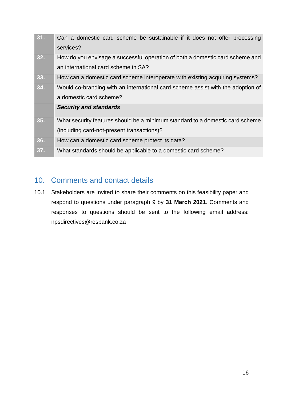| 31. | Can a domestic card scheme be sustainable if it does not offer processing<br>services?                                      |
|-----|-----------------------------------------------------------------------------------------------------------------------------|
| 32. | How do you envisage a successful operation of both a domestic card scheme and<br>an international card scheme in SA?        |
| 33. | How can a domestic card scheme interoperate with existing acquiring systems?                                                |
| 34. | Would co-branding with an international card scheme assist with the adoption of<br>a domestic card scheme?                  |
|     | <b>Security and standards</b>                                                                                               |
| 35. | What security features should be a minimum standard to a domestic card scheme<br>(including card-not-present transactions)? |
| 36. | How can a domestic card scheme protect its data?                                                                            |
| 37. | What standards should be applicable to a domestic card scheme?                                                              |

## <span id="page-17-0"></span>10. Comments and contact details

10.1 Stakeholders are invited to share their comments on this feasibility paper and respond to questions under paragraph 9 by **31 March 2021**. Comments and responses to questions should be sent to the following email address: [npsdirectives@resbank.co.za](mailto:npsdirectives@resbank.co.za)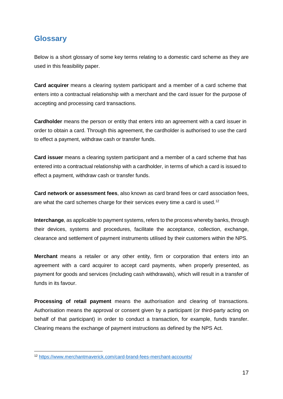## <span id="page-18-0"></span>**Glossary**

 $\overline{a}$ 

Below is a short glossary of some key terms relating to a domestic card scheme as they are used in this feasibility paper.

**Card acquirer** means a clearing system participant and a member of a card scheme that enters into a contractual relationship with a merchant and the card issuer for the purpose of accepting and processing card transactions.

**Cardholder** means the person or entity that enters into an agreement with a card issuer in order to obtain a card. Through this agreement, the cardholder is authorised to use the card to effect a payment, withdraw cash or transfer funds.

**Card issuer** means a clearing system participant and a member of a card scheme that has entered into a contractual relationship with a cardholder, in terms of which a card is issued to effect a payment, withdraw cash or transfer funds.

**Card network or assessment fees**, also known as card brand fees or card association fees, are what the card schemes charge for their services every time a card is used.<sup>[12](#page-18-1)</sup>

**Interchange**, as applicable to payment systems, refers to the process whereby banks, through their devices, systems and procedures, facilitate the acceptance, collection, exchange, clearance and settlement of payment instruments utilised by their customers within the NPS.

**Merchant** means a retailer or any other entity, firm or corporation that enters into an agreement with a card acquirer to accept card payments, when properly presented, as payment for goods and services (including cash withdrawals), which will result in a transfer of funds in its favour.

**Processing of retail payment** means the authorisation and clearing of transactions. Authorisation means the approval or consent given by a participant (or third-party acting on behalf of that participant) in order to conduct a transaction, for example, funds transfer. Clearing means the exchange of payment instructions as defined by the NPS Act.

<span id="page-18-1"></span><sup>12</sup> <https://www.merchantmaverick.com/card-brand-fees-merchant-accounts/>